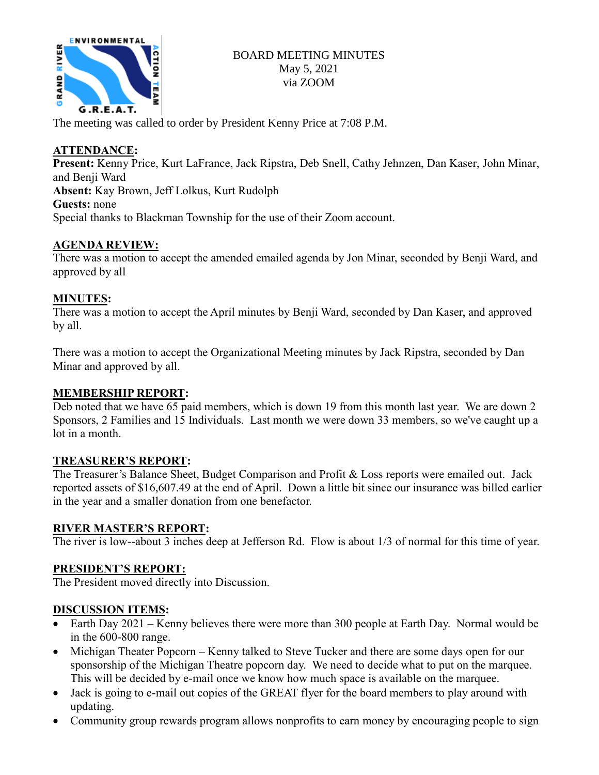

#### BOARD MEETING MINUTES May 5, 2021 via ZOOM

The meeting was called to order by President Kenny Price at 7:08 P.M.

### **ATTENDANCE:**

**Present:** Kenny Price, Kurt LaFrance, Jack Ripstra, Deb Snell, Cathy Jehnzen, Dan Kaser, John Minar, and Benji Ward **Absent:** Kay Brown, Jeff Lolkus, Kurt Rudolph **Guests:** none Special thanks to Blackman Township for the use of their Zoom account.

## **AGENDA REVIEW:**

There was a motion to accept the amended emailed agenda by Jon Minar, seconded by Benji Ward, and approved by all

## **MINUTES:**

There was a motion to accept the April minutes by Benji Ward, seconded by Dan Kaser, and approved by all.

There was a motion to accept the Organizational Meeting minutes by Jack Ripstra, seconded by Dan Minar and approved by all.

#### **MEMBERSHIP REPORT:**

Deb noted that we have 65 paid members, which is down 19 from this month last year. We are down 2 Sponsors, 2 Families and 15 Individuals. Last month we were down 33 members, so we've caught up a lot in a month.

#### **TREASURER'S REPORT:**

The Treasurer's Balance Sheet, Budget Comparison and Profit & Loss reports were emailed out. Jack reported assets of \$16,607.49 at the end of April. Down a little bit since our insurance was billed earlier in the year and a smaller donation from one benefactor.

#### **RIVER MASTER'S REPORT:**

The river is low--about 3 inches deep at Jefferson Rd. Flow is about 1/3 of normal for this time of year.

#### **PRESIDENT'S REPORT:**

The President moved directly into Discussion.

#### **DISCUSSION ITEMS:**

- Earth Day 2021 Kenny believes there were more than 300 people at Earth Day. Normal would be in the 600-800 range.
- Michigan Theater Popcorn Kenny talked to Steve Tucker and there are some days open for our sponsorship of the Michigan Theatre popcorn day. We need to decide what to put on the marquee. This will be decided by e-mail once we know how much space is available on the marquee.
- Jack is going to e-mail out copies of the GREAT flyer for the board members to play around with updating.
- Community group rewards program allows nonprofits to earn money by encouraging people to sign